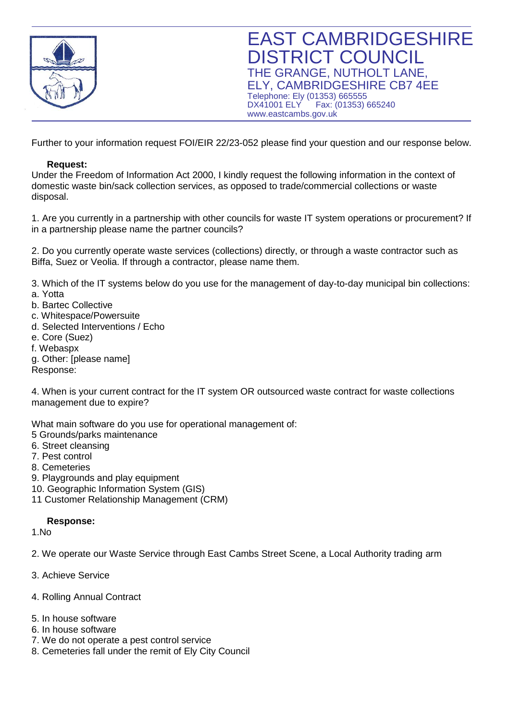

Further to your information request FOI/EIR 22/23-052 please find your question and our response below.

## **Request:**

Under the Freedom of Information Act 2000, I kindly request the following information in the context of domestic waste bin/sack collection services, as opposed to trade/commercial collections or waste disposal.

1. Are you currently in a partnership with other councils for waste IT system operations or procurement? If in a partnership please name the partner councils?

2. Do you currently operate waste services (collections) directly, or through a waste contractor such as Biffa, Suez or Veolia. If through a contractor, please name them.

3. Which of the IT systems below do you use for the management of day-to-day municipal bin collections: a. Yotta

- b. Bartec Collective
- c. Whitespace/Powersuite
- d. Selected Interventions / Echo
- e. Core (Suez)
- f. Webaspx
- g. Other: [please name] Response:

4. When is your current contract for the IT system OR outsourced waste contract for waste collections management due to expire?

What main software do you use for operational management of:

- 5 Grounds/parks maintenance
- 6. Street cleansing
- 7. Pest control
- 8. Cemeteries
- 9. Playgrounds and play equipment
- 10. Geographic Information System (GIS)
- 11 Customer Relationship Management (CRM)

## **Response:**

1.No

2. We operate our Waste Service through East Cambs Street Scene, a Local Authority trading arm

- 3. Achieve Service
- 4. Rolling Annual Contract
- 5. In house software
- 6. In house software
- 7. We do not operate a pest control service
- 8. Cemeteries fall under the remit of Ely City Council